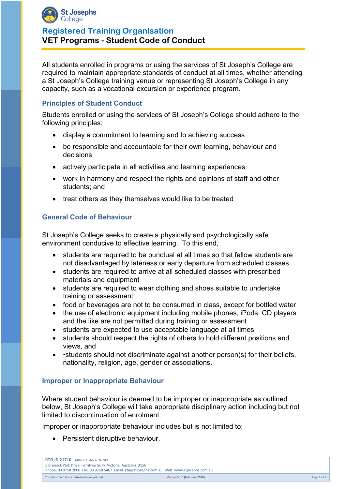

# **Registered Training Organisation VET Programs - Student Code of Conduct**

All students enrolled in programs or using the services of St Joseph's College are required to maintain appropriate standards of conduct at all times, whether attending a St Joseph's College training venue or representing St Joseph's College in any capacity, such as a vocational excursion or experience program.

### **Principles of Student Conduct**

Students enrolled or using the services of St Joseph's College should adhere to the following principles:

- display a commitment to learning and to achieving success
- be responsible and accountable for their own learning, behaviour and decisions
- actively participate in all activities and learning experiences
- work in harmony and respect the rights and opinions of staff and other students; and
- treat others as they themselves would like to be treated

#### **General Code of Behaviour**

St Joseph's College seeks to create a physically and psychologically safe environment conducive to effective learning. To this end,

- students are required to be punctual at all times so that fellow students are not disadvantaged by lateness or early departure from scheduled classes
- students are required to arrive at all scheduled classes with prescribed materials and equipment
- students are required to wear clothing and shoes suitable to undertake training or assessment
- food or beverages are not to be consumed in class, except for bottled water
- the use of electronic equipment including mobile phones, iPods, CD players and the like are not permitted during training or assessment
- students are expected to use acceptable language at all times
- students should respect the rights of others to hold different positions and views, and
- •students should not discriminate against another person(s) for their beliefs, nationality, religion, age, gender or associations.

#### **Improper or Inappropriate Behaviour**

Where student behaviour is deemed to be improper or inappropriate as outlined below, St Joseph's College will take appropriate disciplinary action including but not limited to discontinuation of enrolment.

Improper or inappropriate behaviour includes but is not limited to:

Persistent disruptive behaviour.